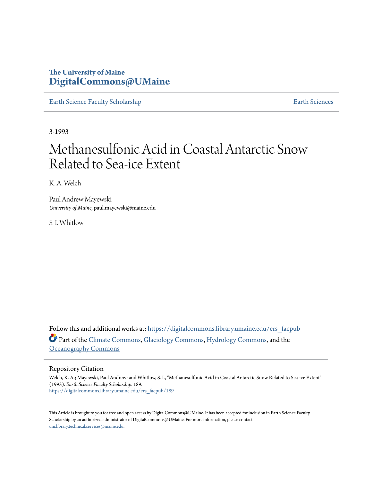# **The University of Maine [DigitalCommons@UMaine](https://digitalcommons.library.umaine.edu?utm_source=digitalcommons.library.umaine.edu%2Fers_facpub%2F189&utm_medium=PDF&utm_campaign=PDFCoverPages)**

[Earth Science Faculty Scholarship](https://digitalcommons.library.umaine.edu/ers_facpub?utm_source=digitalcommons.library.umaine.edu%2Fers_facpub%2F189&utm_medium=PDF&utm_campaign=PDFCoverPages) **[Earth Sciences](https://digitalcommons.library.umaine.edu/ers?utm_source=digitalcommons.library.umaine.edu%2Fers_facpub%2F189&utm_medium=PDF&utm_campaign=PDFCoverPages)** 

3-1993

# Methanesulfonic Acid in Coastal Antarctic Snow Related to Sea‐ice Extent

K. A. Welch

Paul Andrew Mayewski *University of Maine*, paul.mayewski@maine.edu

S. I. Whitlow

Follow this and additional works at: [https://digitalcommons.library.umaine.edu/ers\\_facpub](https://digitalcommons.library.umaine.edu/ers_facpub?utm_source=digitalcommons.library.umaine.edu%2Fers_facpub%2F189&utm_medium=PDF&utm_campaign=PDFCoverPages) Part of the [Climate Commons,](http://network.bepress.com/hgg/discipline/188?utm_source=digitalcommons.library.umaine.edu%2Fers_facpub%2F189&utm_medium=PDF&utm_campaign=PDFCoverPages) [Glaciology Commons](http://network.bepress.com/hgg/discipline/159?utm_source=digitalcommons.library.umaine.edu%2Fers_facpub%2F189&utm_medium=PDF&utm_campaign=PDFCoverPages), [Hydrology Commons,](http://network.bepress.com/hgg/discipline/1054?utm_source=digitalcommons.library.umaine.edu%2Fers_facpub%2F189&utm_medium=PDF&utm_campaign=PDFCoverPages) and the [Oceanography Commons](http://network.bepress.com/hgg/discipline/191?utm_source=digitalcommons.library.umaine.edu%2Fers_facpub%2F189&utm_medium=PDF&utm_campaign=PDFCoverPages)

# Repository Citation

Welch, K. A.; Mayewski, Paul Andrew; and Whitlow, S. I., "Methanesulfonic Acid in Coastal Antarctic Snow Related to Sea‐ice Extent" (1993). *Earth Science Faculty Scholarship*. 189. [https://digitalcommons.library.umaine.edu/ers\\_facpub/189](https://digitalcommons.library.umaine.edu/ers_facpub/189?utm_source=digitalcommons.library.umaine.edu%2Fers_facpub%2F189&utm_medium=PDF&utm_campaign=PDFCoverPages)

This Article is brought to you for free and open access by DigitalCommons@UMaine. It has been accepted for inclusion in Earth Science Faculty Scholarship by an authorized administrator of DigitalCommons@UMaine. For more information, please contact [um.library.technical.services@maine.edu](mailto:um.library.technical.services@maine.edu).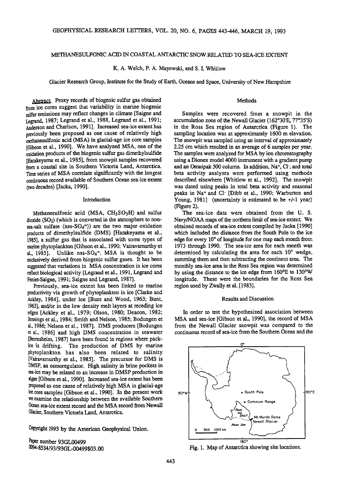# **METHANESULFONIC ACID IN COASTAL ANTARCTIC SNOW RELATED TO SEA-ICE EXTENT**

## **K. A. Welch, P. A. Mayewski, and S. I. Whitlow**

**Glacier Research Group, Institute for the Study of Earth, Oceans and Space, University of New Hampshire** 

#### **Methods**

Abstract. Proxy records of biogenic sulfur gas obtained **from ice cores suggest that variability in marine biogenic sulfur emissions may reflect changes inclimate [Saigne and Legrand, 1987; Legrand et al., !988, Legrand et al., 1991; Anderson ad Charlson, 1991]. Increased sea-ice extent has previously been proposed as one cause of relatively high methanesulfonic acid (MSA) in glacial-age ice core samples [Gibson et al., 1990]. We have analyzed MSA, one of the oxidation products of the biogenic sulfur gas dimethylsulfide [Hatakeyama et al., 1985], from snowpit samples recovered from a coastal site in Southern Victoria Land, Antarctica. Time series of MSA correlate significantly with the longest continuous record available of Southern Ocean sea-ice extent (two decades) [Jacka, 1990].** 

# **Introduction**

**Methanesulfonic acid (MSA, CH3SO3H) and sulfur**  dioxide (SO<sub>2</sub>) (which is converted in the atmosphere to non**sea-salt sulfate (nss-SO4=)) are the two major oxidation products of dimethy!sulfide (DMS) [Hatakeyama eta!., 1985], asulfur gas that is associated with some types of**  marine phytoplankton [Gibson et al., 1990; Vairavamurthy et al., 1985]. Unlike nss-SO<sub>4</sub><sup>=</sup>, MSA is thought to be Unlike nss- $SO_4$ <sup>=</sup>, MSA is thought to be **exclusively derived from biogenic sulfur gases. It has been**  suggested that variations in MSA concentration in ice cores **reflect biological activity [Legrand et al., 1991, Legrand and Feniet-Saigne, 1991; Saigne and Legrand, 1987].** 

**Previously, sea-ice extent has been linked to marine productivity viagrowth of phytoplankton in ice [Clarke and Ackley, 1984], under ice [Bunt and Wood, 1963; Bunt, 1963], and/or in the low density melt layers at receding ice edges [Ackley et al., 1979; Olson, 1980; Deacon, 1982; Jennings et al., 1984; Smith and Nelson, 1985; Bodungen et al., 1986; Nelson eta!., 1987]. DMS producers [Bodungen et al., 1986] and high DMS concentration in seawater [Berresheim, 1987] have been found in regions where packice is drifting. The production of DMS by marine phytoplankton has also been related to salinity [Vairavamurthy et al., 1985]. The precursor for DMS is DMSP, an osmoregulator. High salinity in brine pockets in sea-ice may be related to an increase in DMSP production in algae [Gibson et al., 1990]. Increased sea-icextent has been proposed as one cause of relatively high MSA in glacial-age ice core samples [Gibson et al., 1990]. In the present work we examine the relationship between the available Southern**  Ocean sea-ice extent record and the MSA record from Newall Glacier, Southern Victoria Land, Antarctica.

**Copyfight 1993 by the American Geophysical Union.** 

**!•per number 93GL00499 0094-8534/93/93GL\_00499503.00** 

**Samples were recovered from a snowpit in the accumulation zone of the Newall Glacier (162ø30'E, 77ø35'S) in the Ross Sea region of Antarctica (Figure 1). The sampling location was at approximately 1600 m elevation. The snowpit was sampled using an interval of approximately 2.25 cm which resulted in an average of 6 samples per year. The samples were analyzed for MSA by ion chromatography using a Dionex model 4000 instrument with a gradient pump**  and an Omnipak 500 column. In addition, Na<sup>+</sup>, Cl<sup>-</sup>, and total **beta activity analyses were performed using methods described elsewhere [Whitlow et al., 1992]. The snowpit was dated using peaks in total beta activity and seasonal**  peaks in Na<sup>+</sup> and Cl<sup>-</sup> [Dibb et al., 1990; Warburton and **Young, 1981] (uncertainty is estimated to be +/-1 year) (Figure 2).** 

**The sea-ice data were obtained from the U.S. Navy/NOAA maps of the northern limit of sea-ice extent. We obtained records of sea-ice extent compiled by Jacka [ 1990] which included the distance from the South Pole to the ice**  edge for every 10<sup>°</sup> of longitude for one map each month from **1973 through 1990. The sea-ice area for each month was**  determined by calculating the area for each 10<sup>°</sup> wedge, **summing them and then subtracting the continent area. The monthly sea-ice area in the Ross Sea region was determined by using the distance to the ice edge from 160øE to 130øW longitude. These were the boundaries for the Ross Sea region used by Zwally et al. [1983].** 

#### **Results and Discussion**

**In order to test the hypothesized association between MSA and sea-ice [Gibson et al., 1990], the record of MSA from the Newall Glacier snowpit was compared to the continuous record of sea-ice from the Southern Ocean and the** 



**Fig. 1. Map of Antarctica showing site locations.**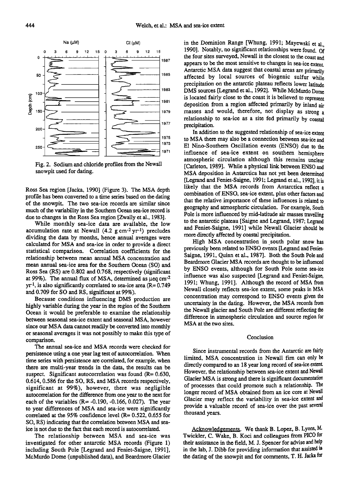

**Fig. 2. Sodium and chloride profiles from the Newall snowpit used for dating.** 

**Ross Sea region [Jacka, 1990] (Figure 3). The MSA depth profile has been converted to a time series based on the dating of the snowpit. The two sea-ice records are similar since much of the variability in the Southern Ocean sea-ice record is due to changes in the Ross Sea region [Zwally et al., 1983].** 

**While monthly sea-ice data are available, the low accumulation rate at Newall (4.2 g cm -2 yr -1) precludes dividing the data by months, hence annual averages were calculated for MSA and sea-ice in order to provide a direct statistical comparison. Correlation coefficients for the relationship between mean annual MSA concentration and mean annual sea-ice area for the Southern Ocean (SO) and Ross Sea (RS) are 0.802 and 0.768, respectively (significant**  at 99%). The annual flux of MSA, determined as  $\mu$ eq cm<sup>-2</sup> **yr -1, is also significantly correlated to sea-ice area (R= 0.749 and 0.709 for SO and RS, significant at 99%).** 

**Because conditions influencing DMS production are highly variable during the year in the region of the Southern Ocean it would be preferable to examine the relationship between seasonal sea-ice extent and seasonal MSA, however since our MSA data cannot readily be converted into monthly or seasonal averages it was not possibly to make this type of comparison.** 

**The annual sea-ice and MSA records were checked for persistence using a one year lag test of autocorrelation. When time series with persistence are correlated, for example, when there are multi-year trends in the data, the results can be suspect. Significant autocorrelation was found (R= 0.630, 0.614, 0.586 for the SO, RS, and MSA records respectively, significant at 99%), however, there was negligible autocorrelation for the difference from one year to the next for**  each of the variables (R= -0.190, -0.166, 0.027). The year **to year differences of MSA and sea-ice were significantly correlated at the 95% confidence level (R= 0.522, 0.655 for SO, RS) indicating that the correlation between MSA and seaice is not due to the fact that each record is autocorrelated.** 

The relationship between MSA and sea-ice was **investigated for other antarctic MSA records (Figure 1) including South Pole [Legrand and Feniet-Saigne, 1991], McMurdo Dome (unpublished data), and Beardmore Glacier** 

in the Dominion Range [Whung, 1991; Mayewski et al. **1990]. Notably, no significant relationships were found. Of the four sites surveyed, Newall is the closest to the coast and appears to be the most sensitive to changes in sea-ice extent. Antarctic MSA data suggest that coastal areas are primarily affected by local sources of biogenic sulfur while precipitation on the antarctic plateau reflects lower latitude DMS sources [Legrand et al., 1992]. While McMurdo Dome is located fairly close to the coast it is believed to represent deposition from a region affected primarily by inland air masses and would, therefore, not display as strong a relationship to sea-ice as a site fed primarily by coastal precipitation.** 

**in addition to the suggested relationship of sea-icextent**  to MSA there may also be a connection between sea-ice and **E1 Nino-Southern Oscillation events (ENSO) due to the influence of sea-ice extent on southern hemisphere atmospheric circulation although this remains unclear [Carleton, 1989]. While a physical link between ENSO and MSA deposition in Antarctica has not yet been determined [Legrand and Feniet-Saigne, 1991; Legrand et al., 1992], itis likely that the MSA records from Antarctica reflect a combination of ENSO, sea-ice extent, plus other factors and that the relative importance of these influences is related to geography and atmospheric circulation. For example, South Pole is more influenced by mid-latitude air masses travelling to the antarctic plateau [Saigne and Legrand, 1987; Legrand and Feniet-Saigne, 1991] while Newall Glacier should be more directly affected by coastal precipitation.** 

**High MSA concentration in.south polar snow has previously been related to ENSO events [Legrand and Feniet-Saigne, 1991, Quinn et al., 1987]. Both the South Pole and**  Beardmore Glacier MSA records are thought to be influenced **by ENSO events, although for South Pole some sea-ice influence was also suspected [Legrand and Feniet-Saigne, 1991; Whung, 1991]. Although the record of MSA from Newall closely reflects sea-ice extent, some peaks in MSA concentration may correspond to ENSO events given the uncertainty in the dating. However, the MSA records from the Newall glacier and South Pole are different reflecting the difference in atmospheric circulation and source region for MSA at the two sites.** 

#### **Conclusion**

**Since instrumental records from the Antarctic are fairly limited, MSA concentration in Newall tim can only be directly compared to an 18 year long record of sea-ice extent However, the relationship between sea-ice extent and Newall Glacier MSA is strong and there is significant documentation of processes that could promote such a relationship. The longer record of MSA obtained from an ice core at Newall**  Glacier may reflect the variability in sea-ice extent and **provide avaluable record of sea-ice over the past several thousand years.** 

**Acknowledgements. We thank B. Lopez, B. Lyons, M. Twickler, C. Wake, B. Koci and colleagues from PICO for their assistance in the field, M. J. Spencer for advise and help in the lab, J. Dibb for providing information that assisted in the dating of the snowpit and for comments, T. H. Jacka for**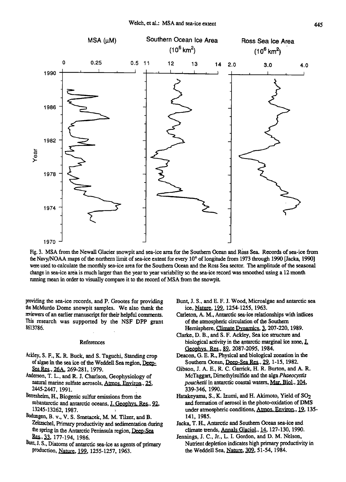

**Fig. 3. MSA from the Newall Glacier snowpit and sea-ice area for the Southern Ocean and Rbss Sea. Records of sea-ice from**  the Navy/NOAA maps of the northern limit of sea-ice extent for every 10<sup>°</sup> of longitude from 1973 through 1990 [Jacka, 1990] **were used to calculate the monthly sea-ice area for the Southern Ocean and the Ross Sea sector. The amplitude of the seasonal change in sea-ice area is much larger than the year to year variability so the sea-ice record was smoothed using a 12 month**  running mean in order to visually compare it to the record of MSA from the snowpit.

**providing the sea-ice records, and P. Grootes for providing the McMurdo Dome snowpit samples. We also thank the reviewers of an earlier manuscript for their helpful comments. This research was supported by the NSF DPP grant 8613786.** 

# **References**

- **hckley, S. F., K. R. Buck, and S. Taguchi, Standing crop**  of algae in the sea ice of the Weddell Sea region, Deep-**Sea Re•., 26A, 269-281, 1979.**
- **Anderson, T. L., and R. J. Charlson, Geophysiology of natural marine sulfate aerosols, Atmos. Environ., 25, 2445-2447, 1991.**
- **llerresheim, H., Biogenic sulfur emissions from the**  subantarctic and antarctic oceans, J. Geophys. Res., 92, **13245-13262, 1987.**
- Bodungen, B. v., V. S. Smetacek, M. M. Tilzer, and B. **Zeitzschel, Primary productivity and sedimentation during the spring in the Antarctic Peninsula region, Deep\_-Sea t•&.,2•., !77-194, 1986.**
- Bunt, J. S., Diatoms of antarctic sea-ice as agents of primary production, *Nature*, 199, 1255-1257, 1963.
- **Bunt, J. S., and E. F. J. Wood, Microalgae and antarctic sea ice, Nature, 199, 1254-1255, 1963.**
- **Carleton, A.M., Antarctic sea-ice relationships with indices of the atmospheric circulation of the Southern Hemisphere, Climate Dynamics, 3, 207-220, 1989.**
- Clarke, D. B., and S. F. Ackley, Sea ice structure and biological activity in the antarctic marginal ice zone, **I**. **Geophys. Res., 89, 2087-2095, 1984.**
- **Deacon, G. E. R., Physical and biological zonation in the Southern Ocean, Deep-Sea Res., 29\_, 1-15, !982.**
- **Gibson, J. A. E., R. C. Garrick, H. R. Burton, and A. R. McTaggart, Dimethylsulfide and the alga Phaeocystis**  *pouchetii* in antarctic coastal waters, Mar. Biol., 104, **339-346, 1990.**
- **Hatakeyama, S., K. Izumi, and H. Akimoto, Yield of \$02 and fomtion of aerosol in the photo-oxidation ofDMS**  under atmospheric conditions, Atmos. Environ., 19, 135-**141, 1985.**
- **Jacka, T. H., Antarctic and Southern Ocean sea-ice and climate trends, Annals Glaciol., 14, 127-130, 1990.**
- Jennings, J. C., Jr., L. I. Gordon, and D. M. Nelson, Nutrient depletion indicates high primary productivity in the Weddell Sea, Nature, 309, 51-54, 1984.